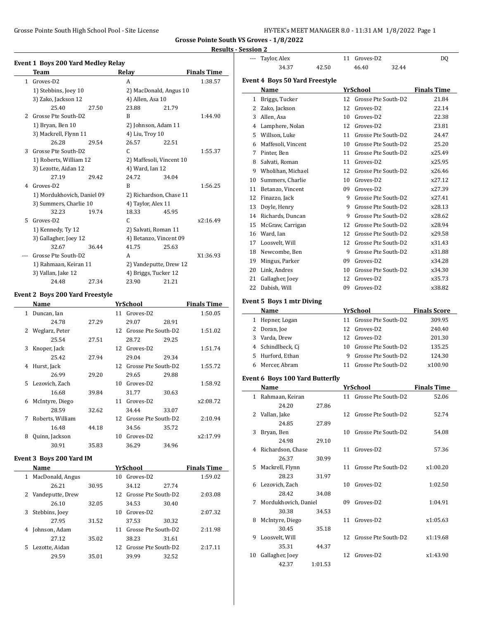Grosse Pointe South High School Pool - Site License **HY-TEK's MEET MANAGER 8.0 - 11:31 AM 1/8/2022** Page 1

**Grosse Pointe South VS Groves - 1/8/2022**

#### **Results - Session 2**

| <b>Event 1 Boys 200 Yard Medley Relay</b> |                                        |       |                          |       |                    |  |  |
|-------------------------------------------|----------------------------------------|-------|--------------------------|-------|--------------------|--|--|
|                                           | Team                                   |       | Relav                    |       | <b>Finals Time</b> |  |  |
| $\mathbf{1}$                              | Groves-D2                              |       | А                        |       | 1:38.57            |  |  |
|                                           | 1) Stebbins, Joey 10                   |       | 2) MacDonald, Angus 10   |       |                    |  |  |
|                                           | 3) Zako, Jackson 12                    |       | 4) Allen, Asa 10         |       |                    |  |  |
|                                           | 25.40                                  | 27.50 | 23.88                    | 21.79 |                    |  |  |
| 2                                         | Grosse Pte South-D2                    |       | B                        |       | 1:44.90            |  |  |
|                                           | 1) Bryan, Ben 10                       |       | 2) Johnson, Adam 11      |       |                    |  |  |
|                                           | 3) Mackrell, Flynn 11                  |       | 4) Liu, Troy 10          |       |                    |  |  |
|                                           | 26.28                                  | 29.54 | 26.57                    | 22.51 |                    |  |  |
| 3                                         | Grosse Pte South-D2                    |       | C.                       |       | 1:55.37            |  |  |
|                                           | 1) Roberts, William 12                 |       | 2) Maffesoli, Vincent 10 |       |                    |  |  |
|                                           | 3) Lezotte, Aidan 12                   |       | 4) Ward, Ian 12          |       |                    |  |  |
|                                           | 27.19                                  | 29.42 | 24.72                    | 34.04 |                    |  |  |
| 4                                         | Groves-D2                              |       | B                        |       | 1:56.25            |  |  |
|                                           | 1) Mordukhovich, Daniel 09             |       | 2) Richardson, Chase 11  |       |                    |  |  |
|                                           | 3) Summers, Charlie 10                 |       | 4) Taylor, Alex 11       |       |                    |  |  |
|                                           | 32.23                                  | 19.74 | 18.33                    | 45.95 |                    |  |  |
| 5                                         | Groves-D2                              |       | C.                       |       | x2:16.49           |  |  |
|                                           | 1) Kennedy, Ty 12                      |       | 2) Salvati, Roman 11     |       |                    |  |  |
|                                           | 3) Gallagher, Joey 12                  |       | 4) Betanzo, Vincent 09   |       |                    |  |  |
|                                           | 32.67                                  | 36.44 | 41.75                    | 25.63 |                    |  |  |
|                                           | Grosse Pte South-D2                    |       | A                        |       | X1:36.93           |  |  |
|                                           | 1) Rahmaan, Keiran 11                  |       | 2) Vandeputte, Drew 12   |       |                    |  |  |
|                                           | 3) Vallan, Jake 12                     |       | 4) Briggs, Tucker 12     |       |                    |  |  |
|                                           | 24.48                                  | 27.34 | 23.90                    | 21.21 |                    |  |  |
|                                           | <b>Event 2 Boys 200 Yard Freestyle</b> |       |                          |       |                    |  |  |
|                                           | Name                                   |       | YrSchool                 |       | <b>Finals Time</b> |  |  |
|                                           | 1 Duncan, Ian                          |       | 11 Groves-D2             |       | 1:50.05            |  |  |

| 1  | Duncan, Ian      |       | 11 | Groves-D2              |       | 1:50.05  |
|----|------------------|-------|----|------------------------|-------|----------|
|    | 24.78            | 27.29 |    | 29.07                  | 28.91 |          |
| 2  | Weglarz, Peter   |       | 12 | Grosse Pte South-D2    |       | 1:51.02  |
|    | 25.54            | 27.51 |    | 28.72                  | 29.25 |          |
| 3  | Knoper, Jack     |       | 12 | Groves-D2              |       | 1:51.74  |
|    | 25.42            | 27.94 |    | 29.04                  | 29.34 |          |
| 4  | Hurst, Jack      |       |    | 12 Grosse Pte South-D2 |       | 1:55.72  |
|    | 26.99            | 29.20 |    | 29.65                  | 29.88 |          |
| 5. | Lezovich, Zach   |       | 10 | Groves-D2              |       | 1:58.92  |
|    | 16.68            | 39.84 |    | 31.77                  | 30.63 |          |
| 6  | McIntyre, Diego  |       | 11 | Groves-D2              |       | x2:08.72 |
|    | 28.59            | 32.62 |    | 34.44                  | 33.07 |          |
| 7  | Roberts, William |       | 12 | Grosse Pte South-D2    |       | 2:10.94  |
|    | 16.48            | 44.18 |    | 34.56                  | 35.72 |          |
| 8  | Quinn, Jackson   |       | 10 | Groves-D2              |       | x2:17.99 |
|    | 30.91            | 35.83 |    | 36.29                  | 34.96 |          |

# **Event 3 Boys 200 Yard IM**

|    | Name             |       |     | <b>YrSchool</b>        |       | <b>Finals Time</b> |
|----|------------------|-------|-----|------------------------|-------|--------------------|
| 1  | MacDonald, Angus |       |     | 10 Groves-D2           |       | 1:59.02            |
|    | 26.21            | 30.95 |     | 34.12                  | 27.74 |                    |
| 2  | Vandeputte, Drew |       |     | 12 Grosse Pte South-D2 |       | 2:03.08            |
|    | 26.10            | 32.05 |     | 34.53                  | 30.40 |                    |
| 3  | Stebbins, Joey   |       | 10  | Groves-D2              |       | 2:07.32            |
|    | 27.95            | 31.52 |     | 37.53                  | 30.32 |                    |
| 4  | Johnson, Adam    |       | 11  | Grosse Pte South-D2    |       | 2:11.98            |
|    | 27.12            | 35.02 |     | 38.23                  | 31.61 |                    |
| 5. | Lezotte, Aidan   |       | 12. | Grosse Pte South-D2    |       | 2:17.11            |
|    | 29.59            | 35.01 |     | 39.99                  | 32.52 |                    |

|              | Taylor, Alex                          |         |    | 11 Groves-D2                       | DQ                          |
|--------------|---------------------------------------|---------|----|------------------------------------|-----------------------------|
|              | 34.37                                 | 42.50   |    | 46.40<br>32.44                     |                             |
|              | <b>Event 4 Boys 50 Yard Freestyle</b> |         |    |                                    |                             |
|              | Name                                  |         |    | YrSchool                           | <b>Finals Time</b>          |
| $\mathbf{1}$ | Briggs, Tucker                        |         | 12 | Grosse Pte South-D2                | 21.84                       |
| $\mathbf{2}$ | Zako, Jackson                         |         | 12 | Groves-D <sub>2</sub>              | 22.14                       |
|              | 3 Allen, Asa                          |         | 10 | Groves-D2                          | 22.38                       |
|              | 4 Lamphere, Nolan                     |         | 12 | Groves-D2                          | 23.81                       |
|              | 5 Willson, Luke                       |         | 11 | Grosse Pte South-D2                | 24.47                       |
|              |                                       |         | 10 | Grosse Pte South-D2                | 25.20                       |
| 6            | Maffesoli, Vincent<br>7 Pinter, Ben   |         | 11 | Grosse Pte South-D2                | x25.49                      |
|              |                                       |         |    |                                    | x25.95                      |
|              | 8 Salvati, Roman                      |         |    | 11 Groves-D2                       |                             |
| 9            | Wholihan, Michael                     |         |    | 12 Grosse Pte South-D2             | x26.46                      |
| 10           | Summers, Charlie                      |         | 10 | Groves-D2                          | x27.12                      |
|              | 11 Betanzo, Vincent                   |         | 09 | Groves-D2                          | x27.39                      |
|              | 12 Finazzo, Jack                      |         | 9  | Grosse Pte South-D2                | x27.41                      |
|              | 13 Doyle, Henry                       |         | 9  | Grosse Pte South-D2                | x28.13                      |
|              | 14 Richards, Duncan                   |         | 9  | Grosse Pte South-D2                | x28.62                      |
|              | 15 McGraw, Carrigan                   |         | 12 | Grosse Pte South-D2                | x28.94                      |
|              | 16 Ward. Ian                          |         | 12 | Grosse Pte South-D2                | x29.58                      |
|              | 17 Loosvelt, Will                     |         | 12 | Grosse Pte South-D2                | x31.43                      |
|              | 18 Newcombe, Ben                      |         | 9  | Grosse Pte South-D2                | x31.88                      |
|              | 19 Mingus, Parker                     |         |    | 09 Groves-D2                       | x34.28                      |
|              | 20 Link, Andres                       |         | 10 | Grosse Pte South-D2                | x34.30                      |
| 21           | Gallagher, Joey                       |         | 12 | Groves-D2                          | x35.73                      |
| 22           | Dabish, Will                          |         | 09 | Groves-D2                          | x38.82                      |
|              | <b>Event 5 Boys 1 mtr Diving</b>      |         |    |                                    |                             |
|              | Name                                  |         |    | YrSchool                           | <b>Finals Score</b>         |
|              | 1 Hepner, Logan                       |         | 11 | Grosse Pte South-D2                | 309.95                      |
|              | 2 Doran, Joe                          |         | 12 | Groves-D2                          | 240.40                      |
|              | 3 Varda, Drew                         |         | 12 | Groves-D2                          | 201.30                      |
|              | 4 Schindlbeck, Cj                     |         | 10 | Grosse Pte South-D2                | 135.25                      |
|              | 5 Hurford, Ethan                      |         | 9  | Grosse Pte South-D2                | 124.30                      |
| 6            | Mercer, Abram                         |         | 11 | Grosse Pte South-D2                | x100.90                     |
|              |                                       |         |    |                                    |                             |
|              | Event 6 Boys 100 Yard Butterfly       |         |    |                                    |                             |
|              | Name                                  |         |    | YrSchool<br>11 Grosse Pte South-D2 | <b>Finals Time</b><br>52.06 |
|              | 1 Rahmaan, Keiran<br>24.20            |         |    |                                    |                             |
|              |                                       | 27.86   |    | 12 Grosse Pte South-D2             |                             |
| 2            | Vallan, Jake<br>24.85                 | 27.89   |    |                                    | 52.74                       |
| 3            | Bryan, Ben                            |         | 10 | Grosse Pte South-D2                | 54.08                       |
|              | 24.98                                 | 29.10   |    |                                    |                             |
| 4            | Richardson, Chase                     |         | 11 | Groves-D2                          | 57.36                       |
|              | 26.37                                 | 30.99   |    |                                    |                             |
| 5            | Mackrell, Flynn                       |         | 11 | Grosse Pte South-D2                | x1:00.20                    |
|              | 28.23                                 | 31.97   |    |                                    |                             |
| 6            | Lezovich, Zach                        |         | 10 | Groves-D2                          | 1:02.50                     |
|              | 28.42                                 | 34.08   |    |                                    |                             |
| 7            | Mordukhovich, Daniel                  |         | 09 | Groves-D2                          | 1:04.91                     |
|              | 30.38                                 | 34.53   |    |                                    |                             |
| 8            | McIntyre, Diego                       |         | 11 | Groves-D2                          | x1:05.63                    |
|              | 30.45                                 | 35.18   |    |                                    |                             |
| 9            | Loosvelt, Will                        |         | 12 | Grosse Pte South-D2                | x1:19.68                    |
|              | 35.31                                 | 44.37   |    |                                    |                             |
| 10           | Gallagher, Joey                       |         | 12 | Groves-D2                          | x1:43.90                    |
|              |                                       |         |    |                                    |                             |
|              | 42.37                                 | 1:01.53 |    |                                    |                             |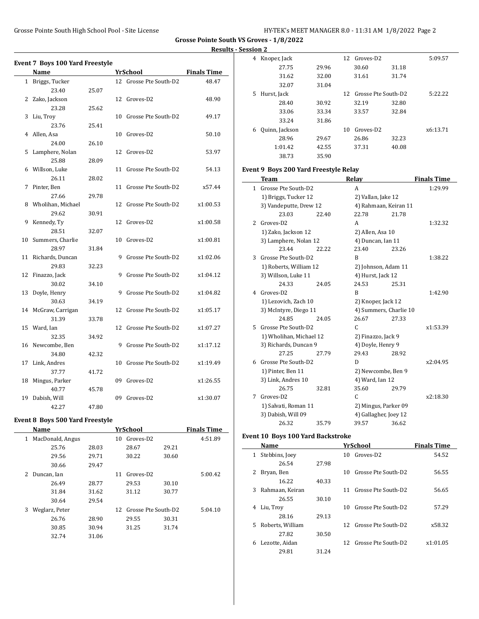**Grosse Pointe South VS Groves - 1/8/2022 Results - Session 2**

|              | <b>Event 7 Boys 100 Yard Freestyle</b> |       |    |                        |                    |
|--------------|----------------------------------------|-------|----|------------------------|--------------------|
|              | Name                                   |       |    | YrSchool               | <b>Finals Time</b> |
| $\mathbf{1}$ | Briggs, Tucker                         |       |    | 12 Grosse Pte South-D2 | 48.47              |
|              | 23.40                                  | 25.07 |    |                        |                    |
| 2            | Zako, Jackson                          |       |    | 12 Groves-D2           | 48.90              |
|              | 23.28                                  | 25.62 |    |                        |                    |
| 3            | Liu, Troy                              |       | 10 | Grosse Pte South-D2    | 49.17              |
|              | 23.76                                  | 25.41 |    |                        |                    |
| 4            | Allen. Asa                             |       | 10 | Groves-D2              | 50.10              |
|              | 24.00                                  | 26.10 |    |                        |                    |
| 5            | Lamphere, Nolan                        |       | 12 | Groves-D2              | 53.97              |
|              | 25.88                                  | 28.09 |    |                        |                    |
| 6            | Willson, Luke                          |       | 11 | Grosse Pte South-D2    | 54.13              |
|              | 26.11                                  | 28.02 |    |                        |                    |
| 7            | Pinter, Ben                            |       | 11 | Grosse Pte South-D2    | x57.44             |
|              | 27.66                                  | 29.78 |    |                        |                    |
|              | 8 Wholihan, Michael                    |       | 12 | Grosse Pte South-D2    | x1:00.53           |
|              | 29.62                                  | 30.91 |    |                        |                    |
| 9            | Kennedy, Ty                            |       | 12 | Groves-D2              | x1:00.58           |
|              | 28.51                                  | 32.07 |    |                        |                    |
| 10           | Summers, Charlie                       |       | 10 | Groves-D2              | x1:00.81           |
|              | 28.97                                  | 31.84 |    |                        |                    |
| 11           | Richards, Duncan                       |       | 9  | Grosse Pte South-D2    | x1:02.06           |
|              | 29.83                                  | 32.23 |    |                        |                    |
| 12           | Finazzo, Jack                          |       | 9  | Grosse Pte South-D2    | x1:04.12           |
|              | 30.02                                  | 34.10 |    |                        |                    |
| 13           | Doyle, Henry                           |       | 9  | Grosse Pte South-D2    | x1:04.82           |
|              | 30.63                                  | 34.19 |    |                        |                    |
| 14           | McGraw, Carrigan                       |       | 12 | Grosse Pte South-D2    | x1:05.17           |
|              | 31.39                                  | 33.78 |    |                        |                    |
| 15           | Ward, Ian                              |       | 12 | Grosse Pte South-D2    | x1:07.27           |
|              | 32.35                                  | 34.92 |    |                        |                    |
| 16           | Newcombe, Ben                          |       | 9  | Grosse Pte South-D2    | x1:17.12           |
|              | 34.80                                  | 42.32 |    |                        |                    |
| 17           | Link, Andres                           |       | 10 | Grosse Pte South-D2    | x1:19.49           |
|              | 37.77                                  | 41.72 |    |                        |                    |
| 18           | Mingus, Parker                         |       | 09 | Groves-D2              | x1:26.55           |
|              | 40.77                                  | 45.78 |    |                        |                    |
| 19           | Dabish, Will                           |       | 09 | Groves-D2              | x1:30.07           |
|              | 42.27                                  | 47.80 |    |                        |                    |

# **Event 8 Boys 500 Yard Freestyle**

|   | Name             |       |    | YrSchool              |       | <b>Finals Time</b> |
|---|------------------|-------|----|-----------------------|-------|--------------------|
| 1 | MacDonald, Angus |       | 10 | Groves-D <sub>2</sub> |       | 4:51.89            |
|   | 25.76            | 28.03 |    | 28.67                 | 29.21 |                    |
|   | 29.56            | 29.71 |    | 30.22                 | 30.60 |                    |
|   | 30.66            | 29.47 |    |                       |       |                    |
| 2 | Duncan, Ian      |       | 11 | Groves-D <sub>2</sub> |       | 5:00.42            |
|   | 26.49            | 28.77 |    | 29.53                 | 30.10 |                    |
|   | 31.84            | 31.62 |    | 31.12                 | 30.77 |                    |
|   | 30.64            | 29.54 |    |                       |       |                    |
| 3 | Weglarz, Peter   |       | 12 | Grosse Pte South-D2   |       | 5:04.10            |
|   | 26.76            | 28.90 |    | 29.55                 | 30.31 |                    |
|   | 30.85            | 30.94 |    | 31.25                 | 31.74 |                    |
|   | 32.74            | 31.06 |    |                       |       |                    |
|   |                  |       |    |                       |       |                    |

| 4 | Knoper, Jack   |       | 12 | Groves-D2             |       | 5:09.57  |
|---|----------------|-------|----|-----------------------|-------|----------|
|   | 27.75          | 29.96 |    | 30.60                 | 31.18 |          |
|   | 31.62          | 32.00 |    | 31.61                 | 31.74 |          |
|   | 32.07          | 31.04 |    |                       |       |          |
| 5 | Hurst, Jack    |       | 12 | Grosse Pte South-D2   |       | 5:22.22  |
|   | 28.40          | 30.92 |    | 32.19                 | 32.80 |          |
|   | 33.06          | 33.34 |    | 33.57                 | 32.84 |          |
|   | 33.24          | 31.86 |    |                       |       |          |
| 6 | Quinn, Jackson |       | 10 | Groves-D <sub>2</sub> |       | x6:13.71 |
|   | 28.96          | 29.67 |    | 26.86                 | 32.23 |          |
|   | 1:01.42        | 42.55 |    | 37.31                 | 40.08 |          |
|   | 38.73          | 35.90 |    |                       |       |          |

# **Event 9 Boys 200 Yard Freestyle Relay**

|    | <b>Team</b>             |       | Relay                  |       | <b>Finals Time</b> |
|----|-------------------------|-------|------------------------|-------|--------------------|
| 1  | Grosse Pte South-D2     |       | A                      |       | 1:29.99            |
|    | 1) Briggs, Tucker 12    |       | 2) Vallan, Jake 12     |       |                    |
|    | 3) Vandeputte, Drew 12  |       | 4) Rahmaan, Keiran 11  |       |                    |
|    | 23.03                   | 22.40 | 22.78                  | 21.78 |                    |
| 2  | Groves-D <sub>2</sub>   |       | A                      |       | 1:32.32            |
|    | 1) Zako, Jackson 12     |       | 2) Allen, Asa 10       |       |                    |
|    | 3) Lamphere, Nolan 12   |       | 4) Duncan, Ian 11      |       |                    |
|    | 23.44                   | 22.22 | 23.40                  | 23.26 |                    |
| 3  | Grosse Pte South-D2     |       | B                      |       | 1:38.22            |
|    | 1) Roberts, William 12  |       | 2) Johnson, Adam 11    |       |                    |
|    | 3) Willson, Luke 11     |       | 4) Hurst, Jack 12      |       |                    |
|    | 24.33                   | 24.05 | 24.53                  | 25.31 |                    |
| 4  | Groves-D2               |       | B                      |       | 1:42.90            |
|    | 1) Lezovich, Zach 10    |       | 2) Knoper, Jack 12     |       |                    |
|    | 3) McIntyre, Diego 11   |       | 4) Summers, Charlie 10 |       |                    |
|    | 24.85                   | 24.05 | 26.67                  | 27.33 |                    |
| 5. | Grosse Pte South-D2     |       | C                      |       | x1:53.39           |
|    | 1) Wholihan, Michael 12 |       | 2) Finazzo, Jack 9     |       |                    |
|    | 3) Richards, Duncan 9   |       | 4) Doyle, Henry 9      |       |                    |
|    | 27.25                   | 27.79 | 29.43                  | 28.92 |                    |
|    | 6 Grosse Pte South-D2   |       | D                      |       | x2:04.95           |
|    | 1) Pinter, Ben 11       |       | 2) Newcombe, Ben 9     |       |                    |
|    | 3) Link, Andres 10      |       | 4) Ward, Ian 12        |       |                    |
|    | 26.75                   | 32.81 | 35.60                  | 29.79 |                    |
| 7  | Groves-D2               |       | C                      |       | x2:18.30           |
|    | 1) Salvati, Roman 11    |       | 2) Mingus, Parker 09   |       |                    |
|    | 3) Dabish, Will 09      |       | 4) Gallagher, Joey 12  |       |                    |
|    | 26.32                   | 35.79 | 39.57                  | 36.62 |                    |

# **Event 10 Boys 100 Yard Backstroke**

|    | Name             |       | YrSchool                     | <b>Finals Time</b> |
|----|------------------|-------|------------------------------|--------------------|
| 1  | Stebbins, Joev   |       | Groves-D <sub>2</sub><br>10. | 54.52              |
|    | 26.54            | 27.98 |                              |                    |
| 2. | Bryan, Ben       |       | Grosse Pte South-D2<br>10    | 56.55              |
|    | 16.22            | 40.33 |                              |                    |
| 3  | Rahmaan, Keiran  |       | 11 Grosse Pte South-D2       | 56.65              |
|    | 26.55            | 30.10 |                              |                    |
| 4  | Liu, Troy        |       | Grosse Pte South-D2<br>10.   | 57.29              |
|    | 28.16            | 29.13 |                              |                    |
| 5. | Roberts, William |       | 12 Grosse Pte South-D2       | x58.32             |
|    | 27.82            | 30.50 |                              |                    |
| 6  | Lezotte, Aidan   |       | 12 Grosse Pte South-D2       | x1:01.05           |
|    | 29.81            | 31.24 |                              |                    |